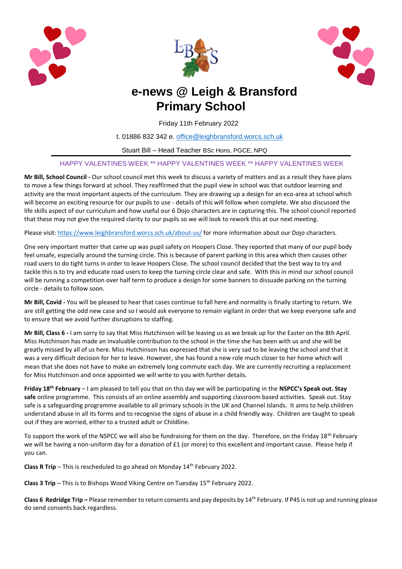





# **e-news @ Leigh & Bransford Primary School**

Friday 11th February 2022

t. 01886 832 342 e. [office@leighbransford.worcs.sch.uk](mailto:office@leighbransford.worcs.sch.uk)

Stuart Bill – Head Teacher BSc Hons, PGCE, NPQ

### HAPPY VALENTINES WEEK \*\* HAPPY VALENTINES WEEK \*\* HAPPY VALENTINES WEEK

**Mr Bill, School Council -** Our school council met this week to discuss a variety of matters and as a result they have plans to move a few things forward at school. They reaffirmed that the pupil view in school was that outdoor learning and activity are the most important aspects of the curriculum. They are drawing up a design for an eco-area at school which will become an exciting resource for our pupils to use - details of this will follow when complete. We also discussed the life skills aspect of our curriculum and how useful our 6 Dojo characters are in capturing this. The school council reported that these may not give the required clarity to our pupils so we will look to rework this at our next meeting.

Please visit: <https://www.leighbransford.worcs.sch.uk/about-us/> for more information about our Dojo characters.

One very important matter that came up was pupil safety on Hoopers Close. They reported that many of our pupil body feel unsafe, especially around the turning circle. This is because of parent parking in this area which then causes other road users to do tight turns in order to leave Hoopers Close. The school council decided that the best way to try and tackle this is to try and educate road users to keep the turning circle clear and safe. With this in mind our school council will be running a competition over half term to produce a design for some banners to dissuade parking on the turning circle - details to follow soon.

**Mr Bill, Covid -** You will be pleased to hear that cases continue to fall here and normality is finally starting to return. We are still getting the odd new case and so I would ask everyone to remain vigilant in order that we keep everyone safe and to ensure that we avoid further disruptions to staffing.

**Mr Bill, Class 6 -** I am sorry to say that Miss Hutchinson will be leaving us as we break up for the Easter on the 8th April. Miss Hutchinson has made an invaluable contribution to the school in the time she has been with us and she will be greatly missed by all of us here. Miss Hutchinson has expressed that she is very sad to be leaving the school and that it was a very difficult decision for her to leave. However, she has found a new role much closer to her home which will mean that she does not have to make an extremely long commute each day. We are currently recruiting a replacement for Miss Hutchinson and once appointed we will write to you with further details.

**Friday 18th February** – I am pleased to tell you that on this day we will be participating in the **NSPCC's Speak out. Stay safe** online programme. This consists of an online assembly and supporting classroom based activities. Speak out. Stay safe is a safeguarding programme available to all primary schools in the UK and Channel Islands. It aims to help children understand abuse in all its forms and to recognise the signs of abuse in a child friendly way. Children are taught to speak out if they are worried, either to a trusted adult or Childline.

To support the work of the NSPCC we will also be fundraising for them on the day. Therefore, on the Friday  $18^{th}$  February we will be having a non-uniform day for a donation of £1 (or more) to this excellent and important cause. Please help if you can.

**Class R Trip** – This is rescheduled to go ahead on Monday 14<sup>th</sup> February 2022.

**Class 3 Trip** – This is to Bishops Wood Viking Centre on Tuesday 15<sup>th</sup> February 2022.

**Class 6 Redridge Trip –** Please remember to return consents and pay deposits by 14<sup>th</sup> February. If P4S is not up and running please do send consents back regardless.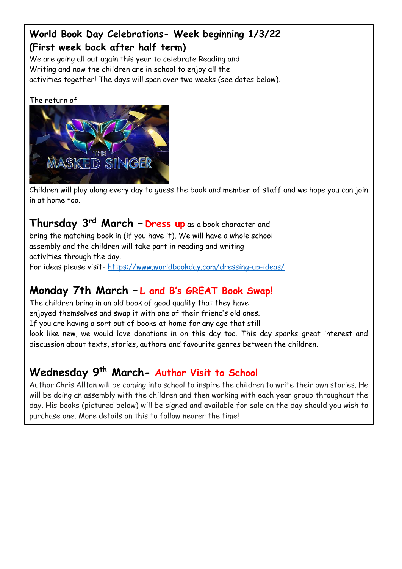## **World Book Day Celebrations- Week beginning 1/3/22 (First week back after half term)**

We are going all out again this year to celebrate Reading and Writing and now the children are in school to enjoy all the activities together! The days will span over two weeks (see dates below).

The return of



Children will play along every day to guess the book and member of staff and we hope you can join in at home too.

### **Thursday 3rd March – Dress up** as a book character and

bring the matching book in (if you have it). We will have a whole school assembly and the children will take part in reading and writing activities through the day. For ideas please visit- <https://www.worldbookday.com/dressing-up-ideas/>

# **Monday 7th March – L and B's GREAT Book Swap!**

The children bring in an old book of good quality that they have enjoyed themselves and swap it with one of their friend's old ones. If you are having a sort out of books at home for any age that still look like new, we would love donations in on this day too. This day sparks great interest and discussion about texts, stories, authors and favourite genres between the children.

# **Wednesday 9th March- Author Visit to School**

Author Chris Allton will be coming into school to inspire the children to write their own stories. He will be doing an assembly with the children and then working with each year group throughout the day. His books (pictured below) will be signed and available for sale on the day should you wish to purchase one. More details on this to follow nearer the time!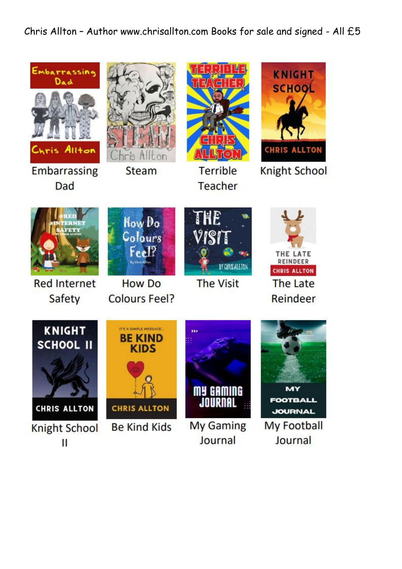## Chris Allton – Author www.chrisallton.com Books for sale and signed - All £5

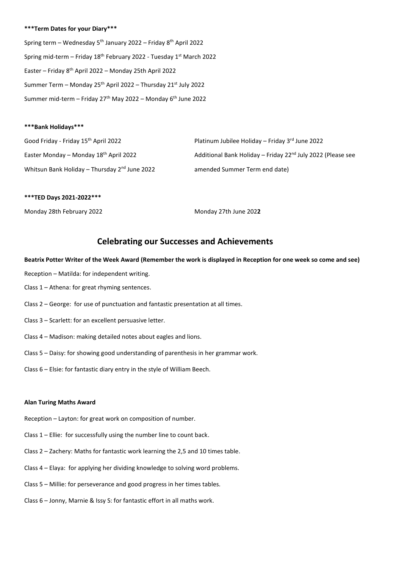#### **\*\*\*Term Dates for your Diary\*\*\***

Spring term – Wednesday  $5<sup>th</sup>$  January 2022 – Friday  $8<sup>th</sup>$  April 2022 Spring mid-term – Friday 18th February 2022 - Tuesday 1st March 2022 Easter – Friday 8th April 2022 – Monday 25th April 2022 Summer Term – Monday 25<sup>th</sup> April 2022 – Thursday 21<sup>st</sup> July 2022 Summer mid-term – Friday 27<sup>th</sup> May 2022 – Monday 6<sup>th</sup> June 2022

#### **\*\*\*Bank Holidays\*\*\***

| Good Friday - Friday 15 <sup>th</sup> April 2022          | Platinum Jubilee Holiday - Friday $3^{rd}$ June 2022                    |
|-----------------------------------------------------------|-------------------------------------------------------------------------|
| Easter Monday – Monday 18 <sup>th</sup> April 2022        | Additional Bank Holiday - Friday 22 <sup>nd</sup> July 2022 (Please see |
| Whitsun Bank Holiday - Thursday 2 <sup>nd</sup> June 2022 | amended Summer Term end date)                                           |

#### **\*\*\*TED Days 2021-2022\*\*\***

Monday 28th February 2022 Monday 27th June 202**2**

### **Celebrating our Successes and Achievements**

**Beatrix Potter Writer of the Week Award (Remember the work is displayed in Reception for one week so come and see)**

- Reception Matilda: for independent writing.
- Class 1 Athena: for great rhyming sentences.
- Class 2 George: for use of punctuation and fantastic presentation at all times.
- Class 3 Scarlett: for an excellent persuasive letter.
- Class 4 Madison: making detailed notes about eagles and lions.
- Class 5 Daisy: for showing good understanding of parenthesis in her grammar work.
- Class 6 Elsie: for fantastic diary entry in the style of William Beech.

#### **Alan Turing Maths Award**

- Reception Layton: for great work on composition of number.
- Class 1 Ellie: for successfully using the number line to count back.
- Class 2 Zachery: Maths for fantastic work learning the 2,5 and 10 times table.
- Class 4 Elaya: for applying her dividing knowledge to solving word problems.
- Class 5 Millie: for perseverance and good progress in her times tables.
- Class 6 Jonny, Marnie & Issy S: for fantastic effort in all maths work.